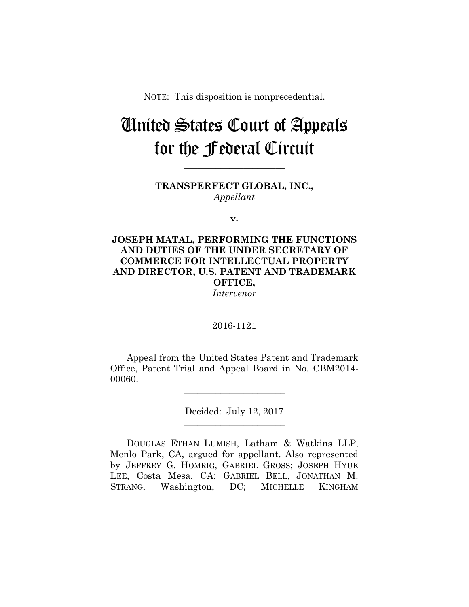NOTE: This disposition is nonprecedential.

# United States Court of Appeals for the Federal Circuit

**TRANSPERFECT GLOBAL, INC.,** *Appellant*

**\_\_\_\_\_\_\_\_\_\_\_\_\_\_\_\_\_\_\_\_\_\_** 

**v.**

**JOSEPH MATAL, PERFORMING THE FUNCTIONS AND DUTIES OF THE UNDER SECRETARY OF COMMERCE FOR INTELLECTUAL PROPERTY AND DIRECTOR, U.S. PATENT AND TRADEMARK OFFICE,** *Intervenor*

**\_\_\_\_\_\_\_\_\_\_\_\_\_\_\_\_\_\_\_\_\_\_** 

# 2016-1121 **\_\_\_\_\_\_\_\_\_\_\_\_\_\_\_\_\_\_\_\_\_\_**

Appeal from the United States Patent and Trademark Office, Patent Trial and Appeal Board in No. CBM2014- 00060.

**\_\_\_\_\_\_\_\_\_\_\_\_\_\_\_\_\_\_\_\_\_\_** 

Decided: July 12, 2017 **\_\_\_\_\_\_\_\_\_\_\_\_\_\_\_\_\_\_\_\_\_\_** 

DOUGLAS ETHAN LUMISH, Latham & Watkins LLP, Menlo Park, CA, argued for appellant. Also represented by JEFFREY G. HOMRIG, GABRIEL GROSS; JOSEPH HYUK LEE, Costa Mesa, CA; GABRIEL BELL, JONATHAN M. STRANG, Washington, DC; MICHELLE KINGHAM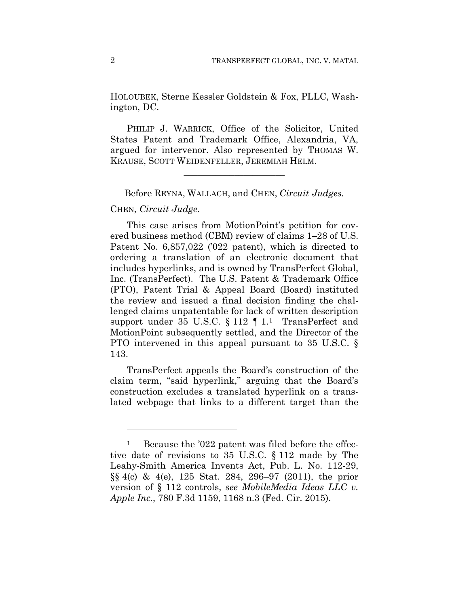HOLOUBEK, Sterne Kessler Goldstein & Fox, PLLC, Washington, DC.

PHILIP J. WARRICK, Office of the Solicitor, United States Patent and Trademark Office, Alexandria, VA, argued for intervenor. Also represented by THOMAS W. KRAUSE, SCOTT WEIDENFELLER, JEREMIAH HELM.

**\_\_\_\_\_\_\_\_\_\_\_\_\_\_\_\_\_\_\_\_\_\_** 

Before REYNA, WALLACH, and CHEN, *Circuit Judges.*

#### CHEN, *Circuit Judge*.

1

This case arises from MotionPoint's petition for covered business method (CBM) review of claims 1–28 of U.S. Patent No. 6,857,022 ('022 patent), which is directed to ordering a translation of an electronic document that includes hyperlinks, and is owned by TransPerfect Global, Inc. (TransPerfect). The U.S. Patent & Trademark Office (PTO), Patent Trial & Appeal Board (Board) instituted the review and issued a final decision finding the challenged claims unpatentable for lack of written description support under 35 U.S.C.  $\S 112 \parallel 1$ . TransPerfect and MotionPoint subsequently settled, and the Director of the PTO intervened in this appeal pursuant to 35 U.S.C. § 143.

TransPerfect appeals the Board's construction of the claim term, "said hyperlink," arguing that the Board's construction excludes a translated hyperlink on a translated webpage that links to a different target than the

<sup>&</sup>lt;sup>1</sup> Because the '022 patent was filed before the effective date of revisions to 35 U.S.C. § 112 made by The Leahy-Smith America Invents Act, Pub. L. No. 112-29, §§ 4(c) & 4(e), 125 Stat. 284, 296–97 (2011), the prior version of § 112 controls, *see MobileMedia Ideas LLC v. Apple Inc.*, 780 F.3d 1159, 1168 n.3 (Fed. Cir. 2015).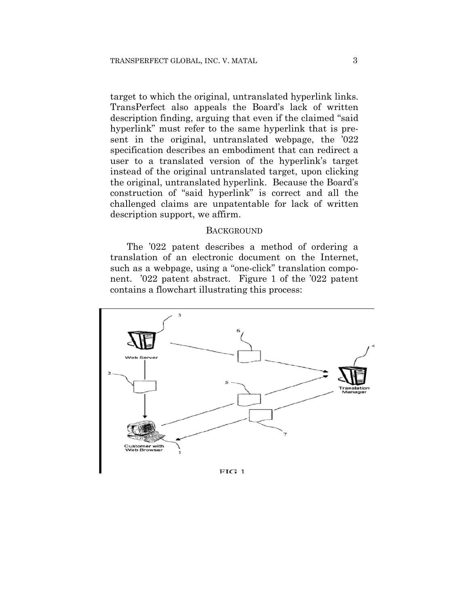target to which the original, untranslated hyperlink links. TransPerfect also appeals the Board's lack of written description finding, arguing that even if the claimed "said hyperlink" must refer to the same hyperlink that is present in the original, untranslated webpage, the '022 specification describes an embodiment that can redirect a user to a translated version of the hyperlink's target instead of the original untranslated target, upon clicking the original, untranslated hyperlink. Because the Board's construction of "said hyperlink" is correct and all the challenged claims are unpatentable for lack of written description support, we affirm.

#### **BACKGROUND**

The '022 patent describes a method of ordering a translation of an electronic document on the Internet, such as a webpage, using a "one-click" translation component. '022 patent abstract. Figure 1 of the '022 patent contains a flowchart illustrating this process:



 $FIG 1$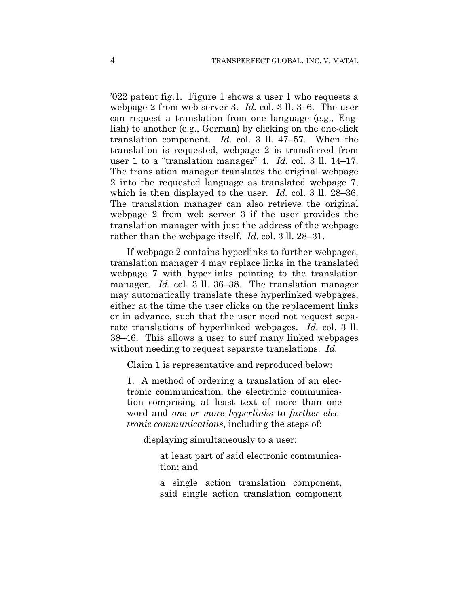'022 patent fig.1. Figure 1 shows a user 1 who requests a webpage 2 from web server 3. *Id.* col. 3 ll. 3–6. The user can request a translation from one language (e.g., English) to another (e.g., German) by clicking on the one-click translation component. *Id.* col. 3 ll. 47–57. When the translation is requested, webpage 2 is transferred from user 1 to a "translation manager" 4. *Id.* col. 3 ll. 14–17. The translation manager translates the original webpage 2 into the requested language as translated webpage 7, which is then displayed to the user. *Id.* col. 3 ll. 28–36. The translation manager can also retrieve the original webpage 2 from web server 3 if the user provides the translation manager with just the address of the webpage rather than the webpage itself. *Id.* col. 3 ll. 28–31.

If webpage 2 contains hyperlinks to further webpages, translation manager 4 may replace links in the translated webpage 7 with hyperlinks pointing to the translation manager. *Id.* col. 3 ll. 36–38. The translation manager may automatically translate these hyperlinked webpages, either at the time the user clicks on the replacement links or in advance, such that the user need not request separate translations of hyperlinked webpages. *Id.* col. 3 ll. 38–46. This allows a user to surf many linked webpages without needing to request separate translations. *Id.*

Claim 1 is representative and reproduced below:

1. A method of ordering a translation of an electronic communication, the electronic communication comprising at least text of more than one word and *one or more hyperlinks* to *further electronic communications*, including the steps of:

displaying simultaneously to a user:

at least part of said electronic communication; and

a single action translation component, said single action translation component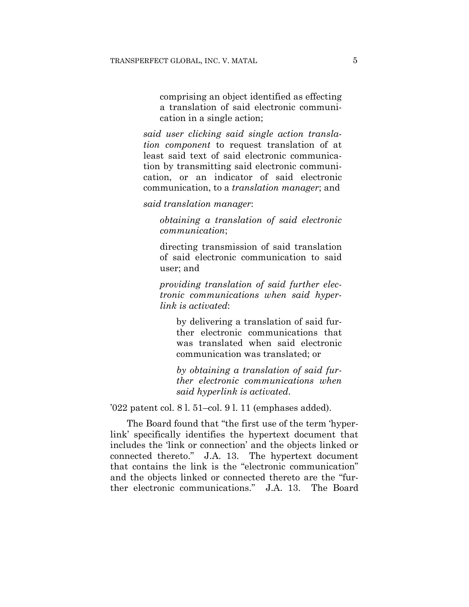comprising an object identified as effecting a translation of said electronic communication in a single action;

*said user clicking said single action translation component* to request translation of at least said text of said electronic communication by transmitting said electronic communication, or an indicator of said electronic communication, to a *translation manager*; and

*said translation manager*:

*obtaining a translation of said electronic communication*;

directing transmission of said translation of said electronic communication to said user; and

*providing translation of said further electronic communications when said hyperlink is activated*:

by delivering a translation of said further electronic communications that was translated when said electronic communication was translated; or

*by obtaining a translation of said further electronic communications when said hyperlink is activated*.

'022 patent col. 8 l. 51–col. 9 l. 11 (emphases added).

The Board found that "the first use of the term 'hyperlink' specifically identifies the hypertext document that includes the 'link or connection' and the objects linked or connected thereto." J.A. 13. The hypertext document that contains the link is the "electronic communication" and the objects linked or connected thereto are the "further electronic communications." J.A. 13. The Board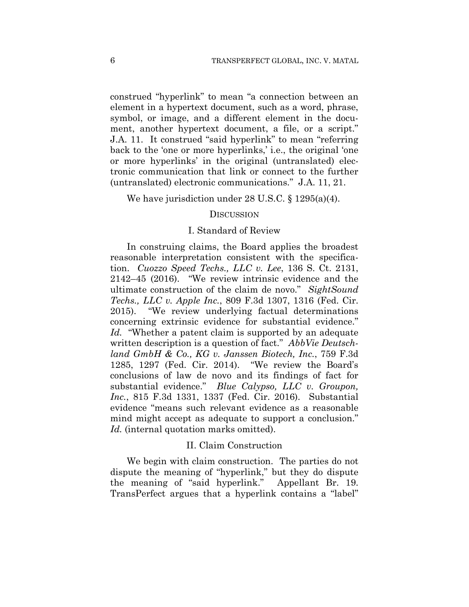construed "hyperlink" to mean "a connection between an element in a hypertext document, such as a word, phrase, symbol, or image, and a different element in the document, another hypertext document, a file, or a script." J.A. 11. It construed "said hyperlink" to mean "referring back to the 'one or more hyperlinks,' i.e., the original 'one or more hyperlinks' in the original (untranslated) electronic communication that link or connect to the further (untranslated) electronic communications." J.A. 11, 21.

#### We have jurisdiction under 28 U.S.C. § 1295(a)(4).

#### **DISCUSSION**

## I. Standard of Review

In construing claims, the Board applies the broadest reasonable interpretation consistent with the specification. *Cuozzo Speed Techs., LLC v. Lee*, 136 S. Ct. 2131, 2142–45 (2016). "We review intrinsic evidence and the ultimate construction of the claim de novo." *SightSound Techs., LLC v. Apple Inc.*, 809 F.3d 1307, 1316 (Fed. Cir. 2015). "We review underlying factual determinations concerning extrinsic evidence for substantial evidence." *Id.* "Whether a patent claim is supported by an adequate written description is a question of fact." *AbbVie Deutschland GmbH & Co., KG v. Janssen Biotech, Inc.*, 759 F.3d 1285, 1297 (Fed. Cir. 2014). "We review the Board's conclusions of law de novo and its findings of fact for substantial evidence." *Blue Calypso, LLC v. Groupon, Inc.*, 815 F.3d 1331, 1337 (Fed. Cir. 2016). Substantial evidence "means such relevant evidence as a reasonable mind might accept as adequate to support a conclusion." *Id.* (internal quotation marks omitted).

### II. Claim Construction

We begin with claim construction. The parties do not dispute the meaning of "hyperlink," but they do dispute the meaning of "said hyperlink." Appellant Br. 19. TransPerfect argues that a hyperlink contains a "label"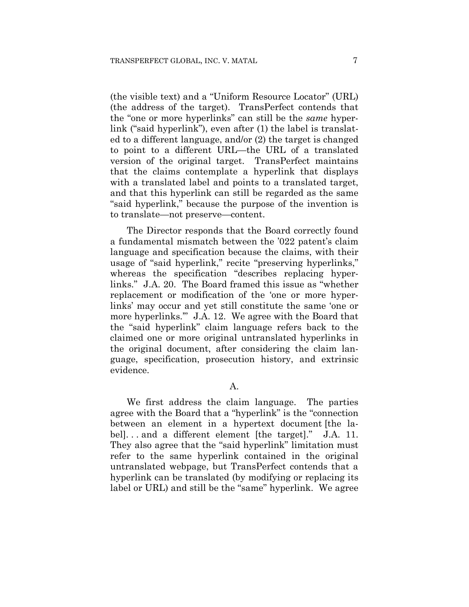(the visible text) and a "Uniform Resource Locator" (URL) (the address of the target). TransPerfect contends that the "one or more hyperlinks" can still be the *same* hyperlink ("said hyperlink"), even after (1) the label is translated to a different language, and/or (2) the target is changed to point to a different URL—the URL of a translated version of the original target. TransPerfect maintains that the claims contemplate a hyperlink that displays with a translated label and points to a translated target, and that this hyperlink can still be regarded as the same "said hyperlink," because the purpose of the invention is to translate—not preserve—content.

The Director responds that the Board correctly found a fundamental mismatch between the '022 patent's claim language and specification because the claims, with their usage of "said hyperlink," recite "preserving hyperlinks," whereas the specification "describes replacing hyperlinks." J.A. 20. The Board framed this issue as "whether replacement or modification of the 'one or more hyperlinks' may occur and yet still constitute the same 'one or more hyperlinks.'" J.A. 12. We agree with the Board that the "said hyperlink" claim language refers back to the claimed one or more original untranslated hyperlinks in the original document, after considering the claim language, specification, prosecution history, and extrinsic evidence.

A.

We first address the claim language. The parties agree with the Board that a "hyperlink" is the "connection between an element in a hypertext document [the label]. . . and a different element [the target]." J.A. 11. They also agree that the "said hyperlink" limitation must refer to the same hyperlink contained in the original untranslated webpage, but TransPerfect contends that a hyperlink can be translated (by modifying or replacing its label or URL) and still be the "same" hyperlink. We agree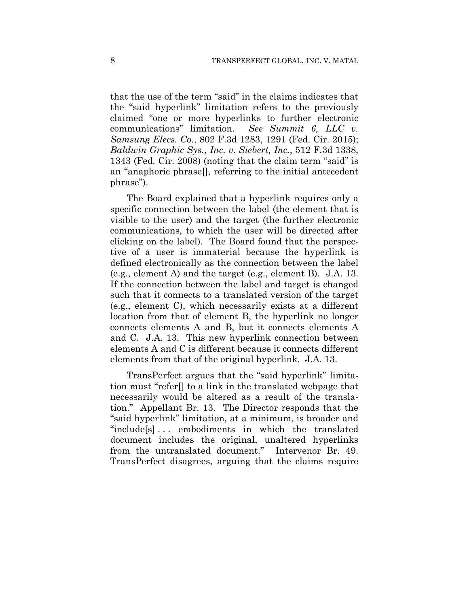that the use of the term "said" in the claims indicates that the "said hyperlink" limitation refers to the previously claimed "one or more hyperlinks to further electronic communications" limitation. *See Summit 6, LLC v. Samsung Elecs. Co.*, 802 F.3d 1283, 1291 (Fed. Cir. 2015); *Baldwin Graphic Sys., Inc. v. Siebert, Inc.*, 512 F.3d 1338, 1343 (Fed. Cir. 2008) (noting that the claim term "said" is an "anaphoric phrase[], referring to the initial antecedent phrase").

The Board explained that a hyperlink requires only a specific connection between the label (the element that is visible to the user) and the target (the further electronic communications, to which the user will be directed after clicking on the label). The Board found that the perspective of a user is immaterial because the hyperlink is defined electronically as the connection between the label (e.g., element A) and the target (e.g., element B). J.A. 13. If the connection between the label and target is changed such that it connects to a translated version of the target (e.g., element C), which necessarily exists at a different location from that of element B, the hyperlink no longer connects elements A and B, but it connects elements A and C. J.A. 13. This new hyperlink connection between elements A and C is different because it connects different elements from that of the original hyperlink. J.A. 13.

TransPerfect argues that the "said hyperlink" limitation must "refer[] to a link in the translated webpage that necessarily would be altered as a result of the translation." Appellant Br. 13. The Director responds that the "said hyperlink" limitation, at a minimum, is broader and "include[s] . . . embodiments in which the translated document includes the original, unaltered hyperlinks from the untranslated document." Intervenor Br. 49. TransPerfect disagrees, arguing that the claims require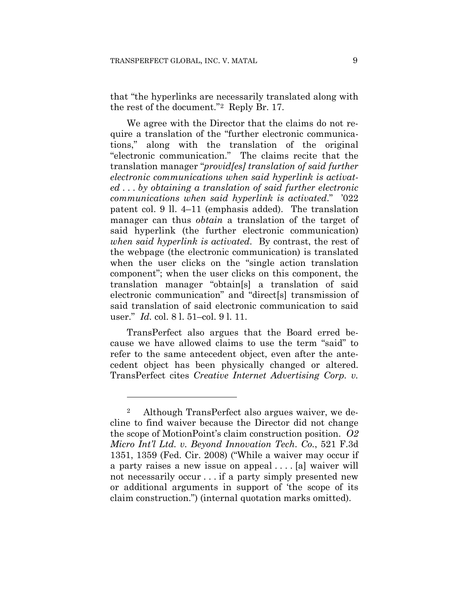that "the hyperlinks are necessarily translated along with the rest of the document."2 Reply Br. 17.

We agree with the Director that the claims do not require a translation of the "further electronic communications," along with the translation of the original "electronic communication." The claims recite that the translation manager "*provid[es] translation of said further electronic communications when said hyperlink is activated* . . . *by obtaining a translation of said further electronic communications when said hyperlink is activated*." '022 patent col. 9 ll. 4–11 (emphasis added). The translation manager can thus *obtain* a translation of the target of said hyperlink (the further electronic communication) *when said hyperlink is activated*. By contrast, the rest of the webpage (the electronic communication) is translated when the user clicks on the "single action translation component"; when the user clicks on this component, the translation manager "obtain[s] a translation of said electronic communication" and "direct[s] transmission of said translation of said electronic communication to said user." *Id.* col. 8 l. 51–col. 9 l. 11.

TransPerfect also argues that the Board erred because we have allowed claims to use the term "said" to refer to the same antecedent object, even after the antecedent object has been physically changed or altered. TransPerfect cites *Creative Internet Advertising Corp. v.* 

1

<sup>2</sup> Although TransPerfect also argues waiver, we decline to find waiver because the Director did not change the scope of MotionPoint's claim construction position. *O2 Micro Int'l Ltd. v. Beyond Innovation Tech. Co.*, 521 F.3d 1351, 1359 (Fed. Cir. 2008) ("While a waiver may occur if a party raises a new issue on appeal . . . . [a] waiver will not necessarily occur . . . if a party simply presented new or additional arguments in support of 'the scope of its claim construction.") (internal quotation marks omitted).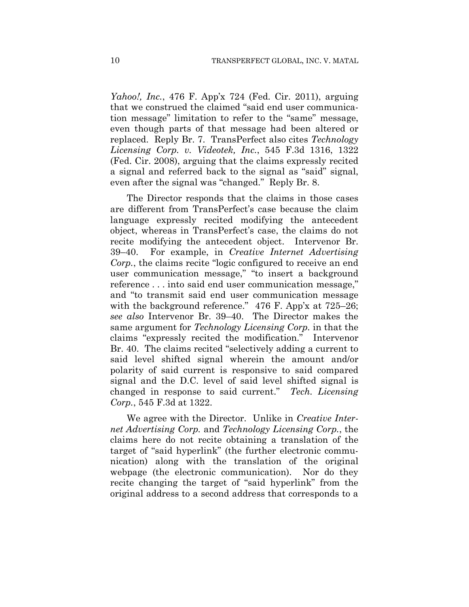*Yahoo!, Inc.*, 476 F. App'x 724 (Fed. Cir. 2011), arguing that we construed the claimed "said end user communication message" limitation to refer to the "same" message, even though parts of that message had been altered or replaced. Reply Br. 7. TransPerfect also cites *Technology Licensing Corp. v. Videotek, Inc.*, 545 F.3d 1316, 1322 (Fed. Cir. 2008), arguing that the claims expressly recited a signal and referred back to the signal as "said" signal, even after the signal was "changed." Reply Br. 8.

The Director responds that the claims in those cases are different from TransPerfect's case because the claim language expressly recited modifying the antecedent object, whereas in TransPerfect's case, the claims do not recite modifying the antecedent object. Intervenor Br. 39–40. For example, in *Creative Internet Advertising Corp.*, the claims recite "logic configured to receive an end user communication message," "to insert a background reference . . . into said end user communication message," and "to transmit said end user communication message with the background reference." 476 F. App'x at 725–26; *see also* Intervenor Br. 39–40. The Director makes the same argument for *Technology Licensing Corp.* in that the claims "expressly recited the modification." Intervenor Br. 40. The claims recited "selectively adding a current to said level shifted signal wherein the amount and/or polarity of said current is responsive to said compared signal and the D.C. level of said level shifted signal is changed in response to said current." *Tech. Licensing Corp.*, 545 F.3d at 1322.

We agree with the Director. Unlike in *Creative Internet Advertising Corp.* and *Technology Licensing Corp.*, the claims here do not recite obtaining a translation of the target of "said hyperlink" (the further electronic communication) along with the translation of the original webpage (the electronic communication). Nor do they recite changing the target of "said hyperlink" from the original address to a second address that corresponds to a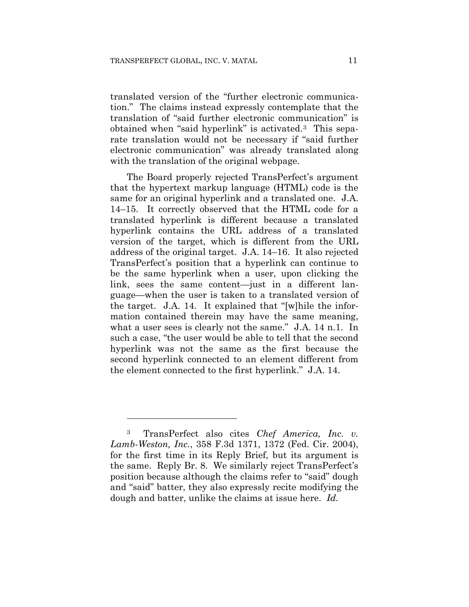translated version of the "further electronic communication." The claims instead expressly contemplate that the translation of "said further electronic communication" is obtained when "said hyperlink" is activated.3 This separate translation would not be necessary if "said further electronic communication" was already translated along with the translation of the original webpage.

The Board properly rejected TransPerfect's argument that the hypertext markup language (HTML) code is the same for an original hyperlink and a translated one. J.A. 14–15. It correctly observed that the HTML code for a translated hyperlink is different because a translated hyperlink contains the URL address of a translated version of the target, which is different from the URL address of the original target. J.A. 14–16. It also rejected TransPerfect's position that a hyperlink can continue to be the same hyperlink when a user, upon clicking the link, sees the same content—just in a different language—when the user is taken to a translated version of the target. J.A. 14. It explained that "[w]hile the information contained therein may have the same meaning, what a user sees is clearly not the same." J.A. 14 n.1. In such a case, "the user would be able to tell that the second hyperlink was not the same as the first because the second hyperlink connected to an element different from the element connected to the first hyperlink." J.A. 14.

<u>.</u>

<sup>3</sup> TransPerfect also cites *Chef America, Inc. v. Lamb-Weston, Inc.*, 358 F.3d 1371, 1372 (Fed. Cir. 2004), for the first time in its Reply Brief, but its argument is the same. Reply Br. 8. We similarly reject TransPerfect's position because although the claims refer to "said" dough and "said" batter, they also expressly recite modifying the dough and batter, unlike the claims at issue here. *Id.*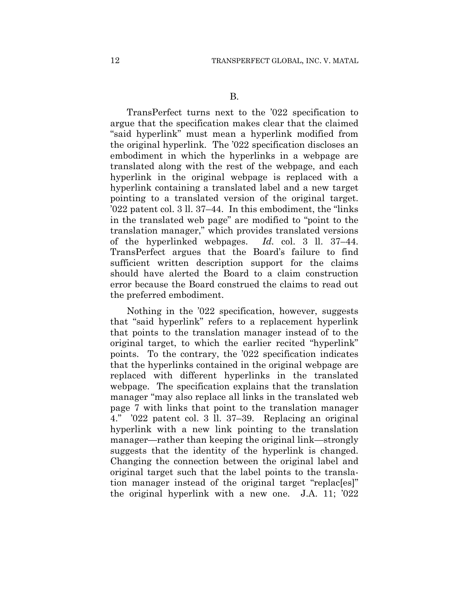TransPerfect turns next to the '022 specification to argue that the specification makes clear that the claimed "said hyperlink" must mean a hyperlink modified from the original hyperlink. The '022 specification discloses an embodiment in which the hyperlinks in a webpage are translated along with the rest of the webpage, and each hyperlink in the original webpage is replaced with a hyperlink containing a translated label and a new target pointing to a translated version of the original target. '022 patent col. 3 ll. 37–44. In this embodiment, the "links in the translated web page" are modified to "point to the translation manager," which provides translated versions of the hyperlinked webpages. *Id.* col. 3 ll. 37–44. TransPerfect argues that the Board's failure to find sufficient written description support for the claims should have alerted the Board to a claim construction error because the Board construed the claims to read out the preferred embodiment.

Nothing in the '022 specification, however, suggests that "said hyperlink" refers to a replacement hyperlink that points to the translation manager instead of to the original target, to which the earlier recited "hyperlink" points. To the contrary, the '022 specification indicates that the hyperlinks contained in the original webpage are replaced with different hyperlinks in the translated webpage. The specification explains that the translation manager "may also replace all links in the translated web page 7 with links that point to the translation manager 4." '022 patent col. 3 ll. 37–39. Replacing an original hyperlink with a new link pointing to the translation manager—rather than keeping the original link—strongly suggests that the identity of the hyperlink is changed. Changing the connection between the original label and original target such that the label points to the translation manager instead of the original target "replac[es]" the original hyperlink with a new one. J.A. 11; '022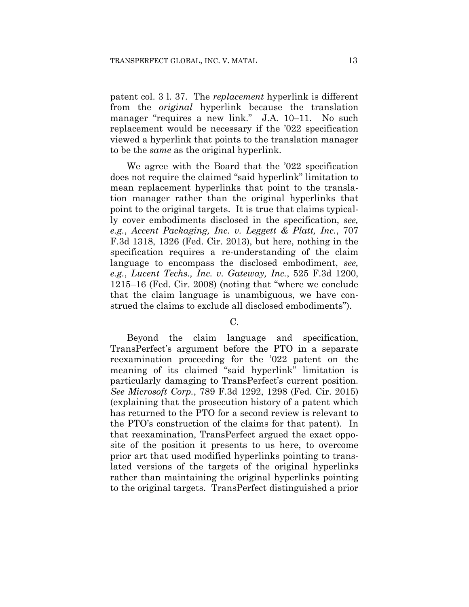patent col. 3 l. 37. The *replacement* hyperlink is different from the *original* hyperlink because the translation manager "requires a new link." J.A. 10–11. No such replacement would be necessary if the '022 specification viewed a hyperlink that points to the translation manager to be the *same* as the original hyperlink.

We agree with the Board that the '022 specification does not require the claimed "said hyperlink" limitation to mean replacement hyperlinks that point to the translation manager rather than the original hyperlinks that point to the original targets. It is true that claims typically cover embodiments disclosed in the specification, *see, e.g.*, *Accent Packaging, Inc. v. Leggett & Platt, Inc.*, 707 F.3d 1318, 1326 (Fed. Cir. 2013), but here, nothing in the specification requires a re-understanding of the claim language to encompass the disclosed embodiment, *see, e.g.*, *Lucent Techs., Inc. v. Gateway, Inc.*, 525 F.3d 1200, 1215–16 (Fed. Cir. 2008) (noting that "where we conclude that the claim language is unambiguous, we have construed the claims to exclude all disclosed embodiments").

 $\mathcal{C}$ 

Beyond the claim language and specification, TransPerfect's argument before the PTO in a separate reexamination proceeding for the '022 patent on the meaning of its claimed "said hyperlink" limitation is particularly damaging to TransPerfect's current position. *See Microsoft Corp.*, 789 F.3d 1292, 1298 (Fed. Cir. 2015) (explaining that the prosecution history of a patent which has returned to the PTO for a second review is relevant to the PTO's construction of the claims for that patent). In that reexamination, TransPerfect argued the exact opposite of the position it presents to us here, to overcome prior art that used modified hyperlinks pointing to translated versions of the targets of the original hyperlinks rather than maintaining the original hyperlinks pointing to the original targets. TransPerfect distinguished a prior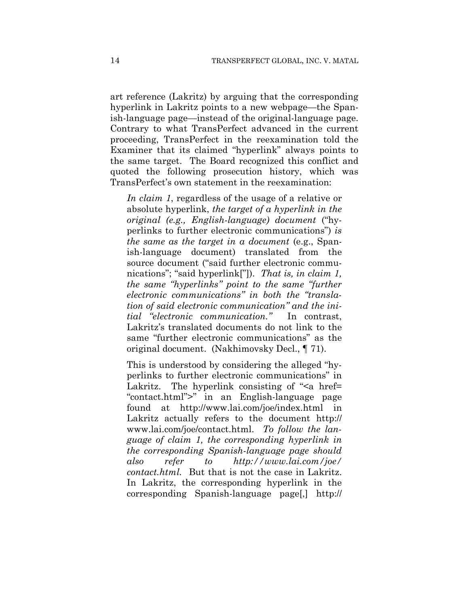art reference (Lakritz) by arguing that the corresponding hyperlink in Lakritz points to a new webpage—the Spanish-language page—instead of the original-language page. Contrary to what TransPerfect advanced in the current proceeding, TransPerfect in the reexamination told the Examiner that its claimed "hyperlink" always points to the same target. The Board recognized this conflict and quoted the following prosecution history, which was TransPerfect's own statement in the reexamination:

*In claim 1*, regardless of the usage of a relative or absolute hyperlink, *the target of a hyperlink in the original (e.g., English-language) document* ("hyperlinks to further electronic communications") *is the same as the target in a document* (e.g., Spanish-language document) translated from the source document ("said further electronic communications"; "said hyperlink["]). *That is, in claim 1, the same "hyperlinks" point to the same "further electronic communications" in both the "translation of said electronic communication" and the initial "electronic communication."* In contrast, Lakritz's translated documents do not link to the same "further electronic communications" as the original document. (Nakhimovsky Decl., ¶ 71).

This is understood by considering the alleged "hyperlinks to further electronic communications" in Lakritz. The hyperlink consisting of " $\leq a$  href= "contact.html">" in an English-language page found at http://www.lai.com/joe/index.html in Lakritz actually refers to the document http:// www.lai.com/joe/contact.html. *To follow the language of claim 1, the corresponding hyperlink in the corresponding Spanish-language page should also refer to http://www.lai.com/joe/ contact.html.* But that is not the case in Lakritz. In Lakritz, the corresponding hyperlink in the corresponding Spanish-language page[,] http://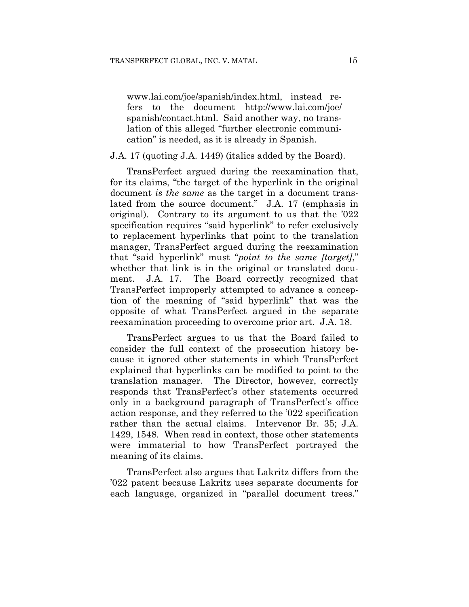www.lai.com/joe/spanish/index.html, instead refers to the document http://www.lai.com/joe/ spanish/contact.html. Said another way, no translation of this alleged "further electronic communication" is needed, as it is already in Spanish.

## J.A. 17 (quoting J.A. 1449) (italics added by the Board).

TransPerfect argued during the reexamination that, for its claims, "the target of the hyperlink in the original document *is the same* as the target in a document translated from the source document." J.A. 17 (emphasis in original). Contrary to its argument to us that the '022 specification requires "said hyperlink" to refer exclusively to replacement hyperlinks that point to the translation manager, TransPerfect argued during the reexamination that "said hyperlink" must "*point to the same [target]*," whether that link is in the original or translated document. J.A. 17. The Board correctly recognized that TransPerfect improperly attempted to advance a conception of the meaning of "said hyperlink" that was the opposite of what TransPerfect argued in the separate reexamination proceeding to overcome prior art. J.A. 18.

TransPerfect argues to us that the Board failed to consider the full context of the prosecution history because it ignored other statements in which TransPerfect explained that hyperlinks can be modified to point to the translation manager. The Director, however, correctly responds that TransPerfect's other statements occurred only in a background paragraph of TransPerfect's office action response, and they referred to the '022 specification rather than the actual claims. Intervenor Br. 35; J.A. 1429, 1548. When read in context, those other statements were immaterial to how TransPerfect portrayed the meaning of its claims.

TransPerfect also argues that Lakritz differs from the '022 patent because Lakritz uses separate documents for each language, organized in "parallel document trees."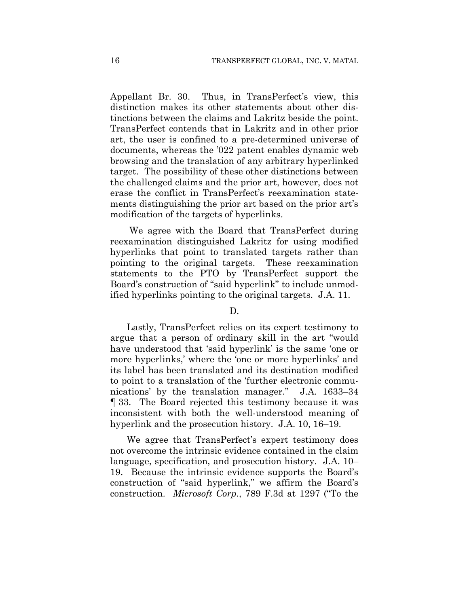Appellant Br. 30. Thus, in TransPerfect's view, this distinction makes its other statements about other distinctions between the claims and Lakritz beside the point. TransPerfect contends that in Lakritz and in other prior art, the user is confined to a pre-determined universe of documents, whereas the '022 patent enables dynamic web browsing and the translation of any arbitrary hyperlinked target. The possibility of these other distinctions between the challenged claims and the prior art, however, does not erase the conflict in TransPerfect's reexamination statements distinguishing the prior art based on the prior art's modification of the targets of hyperlinks.

We agree with the Board that TransPerfect during reexamination distinguished Lakritz for using modified hyperlinks that point to translated targets rather than pointing to the original targets. These reexamination statements to the PTO by TransPerfect support the Board's construction of "said hyperlink" to include unmodified hyperlinks pointing to the original targets. J.A. 11.

## D.

Lastly, TransPerfect relies on its expert testimony to argue that a person of ordinary skill in the art "would have understood that 'said hyperlink' is the same 'one or more hyperlinks,' where the 'one or more hyperlinks' and its label has been translated and its destination modified to point to a translation of the 'further electronic communications' by the translation manager." J.A. 1633–34 ¶ 33. The Board rejected this testimony because it was inconsistent with both the well-understood meaning of hyperlink and the prosecution history. J.A. 10, 16–19.

We agree that TransPerfect's expert testimony does not overcome the intrinsic evidence contained in the claim language, specification, and prosecution history. J.A. 10– 19. Because the intrinsic evidence supports the Board's construction of "said hyperlink," we affirm the Board's construction. *Microsoft Corp.*, 789 F.3d at 1297 ("To the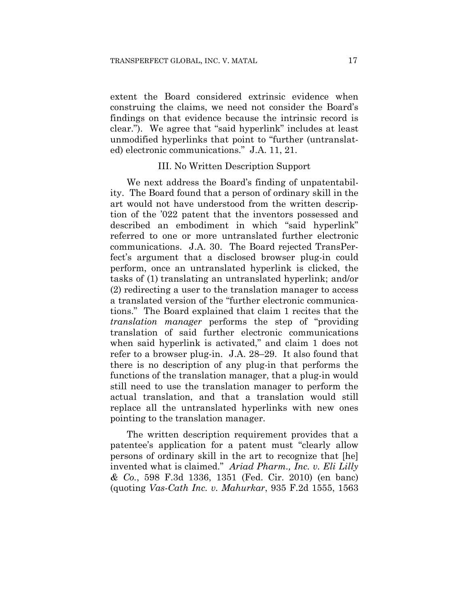extent the Board considered extrinsic evidence when construing the claims, we need not consider the Board's findings on that evidence because the intrinsic record is clear."). We agree that "said hyperlink" includes at least unmodified hyperlinks that point to "further (untranslated) electronic communications." J.A. 11, 21.

## III. No Written Description Support

We next address the Board's finding of unpatentability. The Board found that a person of ordinary skill in the art would not have understood from the written description of the '022 patent that the inventors possessed and described an embodiment in which "said hyperlink" referred to one or more untranslated further electronic communications. J.A. 30. The Board rejected TransPerfect's argument that a disclosed browser plug-in could perform, once an untranslated hyperlink is clicked, the tasks of (1) translating an untranslated hyperlink; and/or (2) redirecting a user to the translation manager to access a translated version of the "further electronic communications." The Board explained that claim 1 recites that the *translation manager* performs the step of "providing translation of said further electronic communications when said hyperlink is activated," and claim 1 does not refer to a browser plug-in. J.A. 28–29. It also found that there is no description of any plug-in that performs the functions of the translation manager, that a plug-in would still need to use the translation manager to perform the actual translation, and that a translation would still replace all the untranslated hyperlinks with new ones pointing to the translation manager.

The written description requirement provides that a patentee's application for a patent must "clearly allow persons of ordinary skill in the art to recognize that [he] invented what is claimed." *Ariad Pharm., Inc. v. Eli Lilly & Co.*, 598 F.3d 1336, 1351 (Fed. Cir. 2010) (en banc) (quoting *Vas-Cath Inc. v. Mahurkar*, 935 F.2d 1555, 1563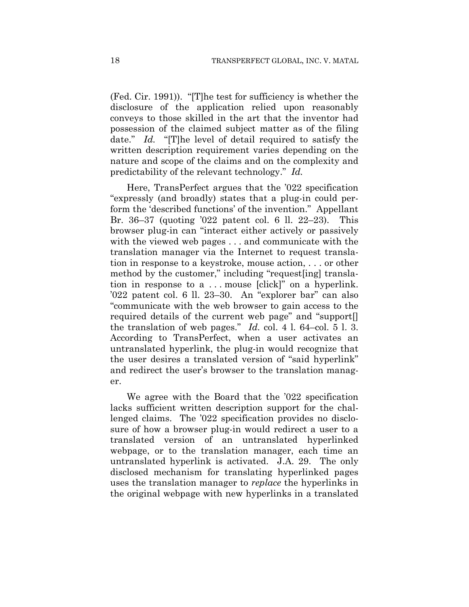(Fed. Cir. 1991)). "[T]he test for sufficiency is whether the disclosure of the application relied upon reasonably conveys to those skilled in the art that the inventor had possession of the claimed subject matter as of the filing date." *Id.* "[T]he level of detail required to satisfy the written description requirement varies depending on the nature and scope of the claims and on the complexity and predictability of the relevant technology." *Id.*

Here, TransPerfect argues that the '022 specification "expressly (and broadly) states that a plug-in could perform the 'described functions' of the invention." Appellant Br. 36–37 (quoting '022 patent col. 6 ll. 22–23). This browser plug-in can "interact either actively or passively with the viewed web pages . . . and communicate with the translation manager via the Internet to request translation in response to a keystroke, mouse action, . . . or other method by the customer," including "request[ing] translation in response to a . . . mouse [click]" on a hyperlink. '022 patent col. 6 ll. 23–30. An "explorer bar" can also "communicate with the web browser to gain access to the required details of the current web page" and "support[] the translation of web pages." *Id.* col. 4 l. 64–col. 5 l. 3. According to TransPerfect, when a user activates an untranslated hyperlink, the plug-in would recognize that the user desires a translated version of "said hyperlink" and redirect the user's browser to the translation manager.

We agree with the Board that the '022 specification lacks sufficient written description support for the challenged claims. The '022 specification provides no disclosure of how a browser plug-in would redirect a user to a translated version of an untranslated hyperlinked webpage, or to the translation manager, each time an untranslated hyperlink is activated. J.A. 29. The only disclosed mechanism for translating hyperlinked pages uses the translation manager to *replace* the hyperlinks in the original webpage with new hyperlinks in a translated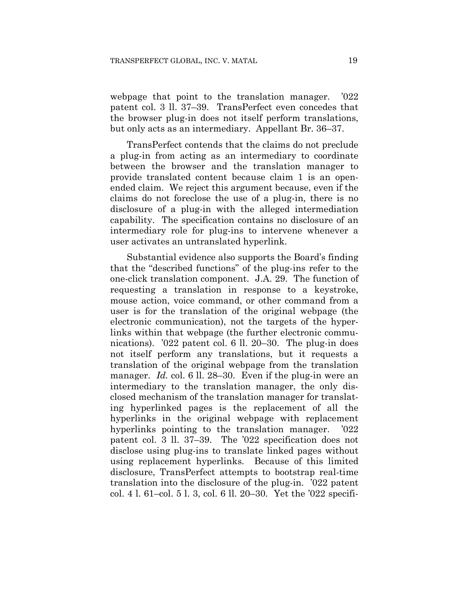webpage that point to the translation manager. '022 patent col. 3 ll. 37–39. TransPerfect even concedes that the browser plug-in does not itself perform translations, but only acts as an intermediary. Appellant Br. 36–37.

TransPerfect contends that the claims do not preclude a plug-in from acting as an intermediary to coordinate between the browser and the translation manager to provide translated content because claim 1 is an openended claim. We reject this argument because, even if the claims do not foreclose the use of a plug-in, there is no disclosure of a plug-in with the alleged intermediation capability. The specification contains no disclosure of an intermediary role for plug-ins to intervene whenever a user activates an untranslated hyperlink.

Substantial evidence also supports the Board's finding that the "described functions" of the plug-ins refer to the one-click translation component. J.A. 29. The function of requesting a translation in response to a keystroke, mouse action, voice command, or other command from a user is for the translation of the original webpage (the electronic communication), not the targets of the hyperlinks within that webpage (the further electronic communications). '022 patent col. 6 ll. 20–30. The plug-in does not itself perform any translations, but it requests a translation of the original webpage from the translation manager. *Id.* col. 6 ll. 28–30. Even if the plug-in were an intermediary to the translation manager, the only disclosed mechanism of the translation manager for translating hyperlinked pages is the replacement of all the hyperlinks in the original webpage with replacement hyperlinks pointing to the translation manager. '022 patent col. 3 ll. 37–39. The '022 specification does not disclose using plug-ins to translate linked pages without using replacement hyperlinks. Because of this limited disclosure, TransPerfect attempts to bootstrap real-time translation into the disclosure of the plug-in. '022 patent col. 4 l. 61–col. 5 l. 3, col. 6 ll. 20–30. Yet the '022 specifi-